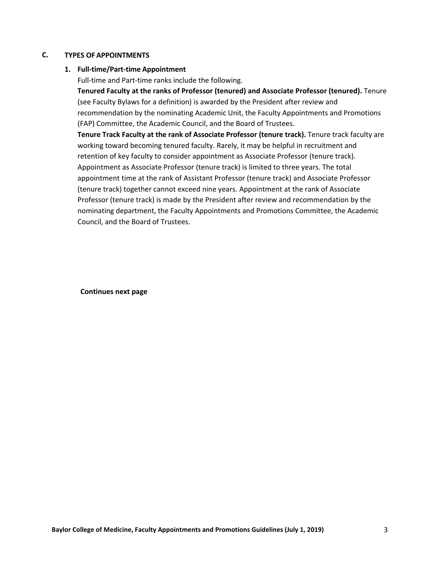#### **TYPES OF APPOINTMENTS C.**

## **1. Full-time/Part-time Appointment**

Full-time and Part-time ranks include the following.

**Tenured Faculty at the ranks of Professor (tenured) and Associate Professor (tenured).** Tenure (see Faculty Bylaws for a definition) is awarded by the President after review and recommendation by the nominating Academic Unit, the Faculty Appointments and Promotions (FAP) Committee, the Academic Council, and the Board of Trustees.

**Tenure Track Faculty at the rank of Associate Professor (tenure track).** Tenure track faculty are working toward becoming tenured faculty. Rarely, it may be helpful in recruitment and retention of key faculty to consider appointment as Associate Professor (tenure track). Appointment as Associate Professor (tenure track) is limited to three years. The total appointment time at the rank of Assistant Professor (tenure track) and Associate Professor (tenure track) together cannot exceed nine years. Appointment at the rank of Associate Professor (tenure track) is made by the President after review and recommendation by the nominating department, the Faculty Appointments and Promotions Committee, the Academic Council, and the Board of Trustees.

**Continues next page**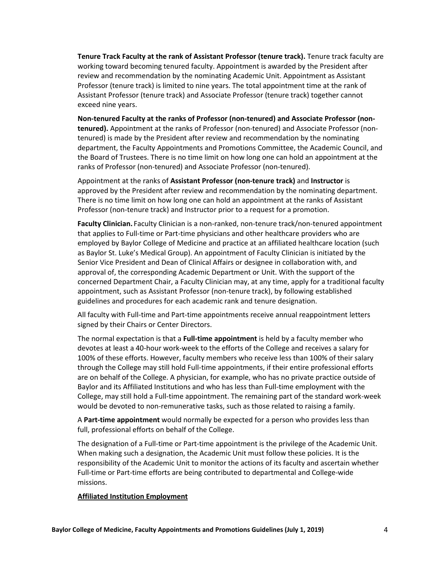**Tenure Track Faculty at the rank of Assistant Professor (tenure track).** Tenure track faculty are working toward becoming tenured faculty. Appointment is awarded by the President after review and recommendation by the nominating Academic Unit. Appointment as Assistant Professor (tenure track) is limited to nine years. The total appointment time at the rank of Assistant Professor (tenure track) and Associate Professor (tenure track) together cannot exceed nine years.

**Non-tenured Faculty at the ranks of Professor (non-tenured) and Associate Professor (nontenured).** Appointment at the ranks of Professor (non-tenured) and Associate Professor (nontenured) is made by the President after review and recommendation by the nominating department, the Faculty Appointments and Promotions Committee, the Academic Council, and the Board of Trustees. There is no time limit on how long one can hold an appointment at the ranks of Professor (non-tenured) and Associate Professor (non-tenured).

Appointment at the ranks of **Assistant Professor (non-tenure track)** and **Instructor** is approved by the President after review and recommendation by the nominating department. There is no time limit on how long one can hold an appointment at the ranks of Assistant Professor (non-tenure track) and Instructor prior to a request for a promotion.

**Faculty Clinician.** Faculty Clinician is a non-ranked, non-tenure track/non-tenured appointment that applies to Full-time or Part-time physicians and other healthcare providers who are employed by Baylor College of Medicine and practice at an affiliated healthcare location (such as Baylor St. Luke's Medical Group). An appointment of Faculty Clinician is initiated by the Senior Vice President and Dean of Clinical Affairs or designee in collaboration with, and approval of, the corresponding Academic Department or Unit. With the support of the concerned Department Chair, a Faculty Clinician may, at any time, apply for a traditional faculty appointment, such as Assistant Professor (non-tenure track), by following established guidelines and procedures for each academic rank and tenure designation.

All faculty with Full-time and Part-time appointments receive annual reappointment letters signed by their Chairs or Center Directors.

The normal expectation is that a **Full-time appointment** is held by a faculty member who devotes at least a 40-hour work-week to the efforts of the College and receives a salary for 100% of these efforts. However, faculty members who receive less than 100% of their salary through the College may still hold Full-time appointments, if their entire professional efforts are on behalf of the College. A physician, for example, who has no private practice outside of Baylor and its Affiliated Institutions and who has less than Full-time employment with the College, may still hold a Full-time appointment. The remaining part of the standard work-week would be devoted to non-remunerative tasks, such as those related to raising a family.

A **Part-time appointment** would normally be expected for a person who provides less than full, professional efforts on behalf of the College.

The designation of a Full-time or Part-time appointment is the privilege of the Academic Unit. When making such a designation, the Academic Unit must follow these policies. It is the responsibility of the Academic Unit to monitor the actions of its faculty and ascertain whether Full-time or Part-time efforts are being contributed to departmental and College-wide missions.

## **Affiliated Institution Employment**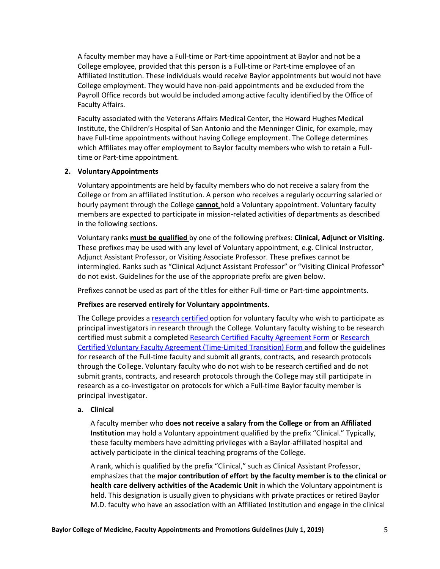A faculty member may have a Full-time or Part-time appointment at Baylor and not be a College employee, provided that this person is a Full-time or Part-time employee of an Affiliated Institution. These individuals would receive Baylor appointments but would not have College employment. They would have non-paid appointments and be excluded from the Payroll Office records but would be included among active faculty identified by the Office of Faculty Affairs.

Faculty associated with the Veterans Affairs Medical Center, the Howard Hughes Medical Institute, the Children's Hospital of San Antonio and the Menninger Clinic, for example, may have Full-time appointments without having College employment. The College determines which Affiliates may offer employment to Baylor faculty members who wish to retain a Fulltime or Part-time appointment.

## **2. Voluntary Appointments**

Voluntary appointments are held by faculty members who do not receive a salary from the College or from an affiliated institution. A person who receives a regularly occurring salaried or hourly payment through the College **cannot** hold a Voluntary appointment. Voluntary faculty members are expected to participate in mission-related activities of departments as described in the following sections.

Voluntary ranks **must be qualified** by one of the following prefixes: **Clinical, Adjunct or Visiting.** These prefixes may be used with any level of Voluntary appointment, e.g. Clinical Instructor, Adjunct Assistant Professor, or Visiting Associate Professor. These prefixes cannot be intermingled. Ranks such as "Clinical Adjunct Assistant Professor" or "Visiting Clinical Professor" do not exist. Guidelines for the use of the appropriate prefix are given below.

Prefixes cannot be used as part of the titles for either Full-time or Part-time appointments.

# **Prefixes are reserved entirely for Voluntary appointments.**

The College provides a research certified option for voluntary faculty who wish to participate as principal investigators in research through the College. Voluntary faculty wishing to be research certified must submit a completed Research Certified Faculty Agreement Form or Research Certified Voluntary Faculty Agreement (Time-Limited Transition) Form and follow the guidelines for research of the Full-time faculty and submit all grants, contracts, and research protocols through the College. Voluntary faculty who do not wish to be research certified and do not submit grants, contracts, and research protocols through the College may still participate in research as a co-investigator on protocols for which a Full-time Baylor faculty member is principal investigator.

## **a. Clinical**

A faculty member who **does not receive a salary from the College or from an Affiliated Institution** may hold a Voluntary appointment qualified by the prefix "Clinical." Typically, these faculty members have admitting privileges with a Baylor-affiliated hospital and actively participate in the clinical teaching programs of the College.

A rank, which is qualified by the prefix "Clinical," such as Clinical Assistant Professor, emphasizes that the **major contribution of effort by the faculty member is to the clinical or health care delivery activities of the Academic Unit** in which the Voluntary appointment is held. This designation is usually given to physicians with private practices or retired Baylor M.D. faculty who have an association with an Affiliated Institution and engage in the clinical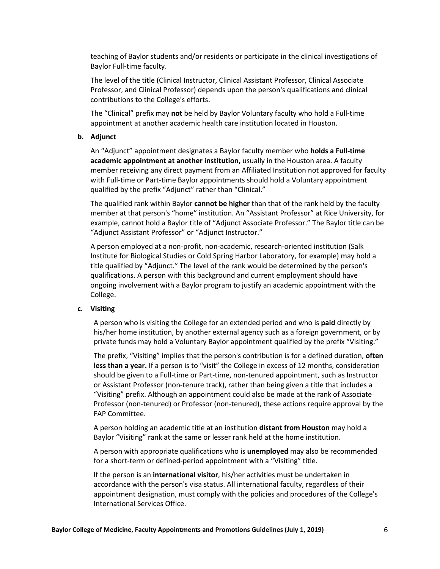teaching of Baylor students and/or residents or participate in the clinical investigations of Baylor Full-time faculty.

The level of the title (Clinical Instructor, Clinical Assistant Professor, Clinical Associate Professor, and Clinical Professor) depends upon the person's qualifications and clinical contributions to the College's efforts.

The "Clinical" prefix may **not** be held by Baylor Voluntary faculty who hold a Full-time appointment at another academic health care institution located in Houston.

## **b. Adjunct**

An "Adjunct" appointment designates a Baylor faculty member who **holds a Full-time academic appointment at another institution,** usually in the Houston area. A faculty member receiving any direct payment from an Affiliated Institution not approved for faculty with Full-time or Part-time Baylor appointments should hold a Voluntary appointment qualified by the prefix "Adjunct" rather than "Clinical."

The qualified rank within Baylor **cannot be higher** than that of the rank held by the faculty member at that person's "home" institution. An "Assistant Professor" at Rice University, for example, cannot hold a Baylor title of "Adjunct Associate Professor." The Baylor title can be "Adjunct Assistant Professor" or "Adjunct Instructor."

A person employed at a non-profit, non-academic, research-oriented institution (Salk Institute for Biological Studies or Cold Spring Harbor Laboratory, for example) may hold a title qualified by "Adjunct." The level of the rank would be determined by the person's qualifications. A person with this background and current employment should have ongoing involvement with a Baylor program to justify an academic appointment with the College.

#### **c. Visiting**

A person who is visiting the College for an extended period and who is **paid** directly by his/her home institution, by another external agency such as a foreign government, or by private funds may hold a Voluntary Baylor appointment qualified by the prefix "Visiting."

The prefix, "Visiting" implies that the person's contribution is for a defined duration, **often less than a year.** If a person is to "visit" the College in excess of 12 months, consideration should be given to a Full-time or Part-time, non-tenured appointment, such as Instructor or Assistant Professor (non-tenure track), rather than being given a title that includes a "Visiting" prefix. Although an appointment could also be made at the rank of Associate Professor (non-tenured) or Professor (non-tenured), these actions require approval by the FAP Committee.

A person holding an academic title at an institution **distant from Houston** may hold a Baylor "Visiting" rank at the same or lesser rank held at the home institution.

A person with appropriate qualifications who is **unemployed** may also be recommended for a short-term or defined-period appointment with a "Visiting" title.

If the person is an **international visitor**, his/her activities must be undertaken in accordance with the person's visa status. All international faculty, regardless of their appointment designation, must comply with the policies and procedures of the College's International Services Office.